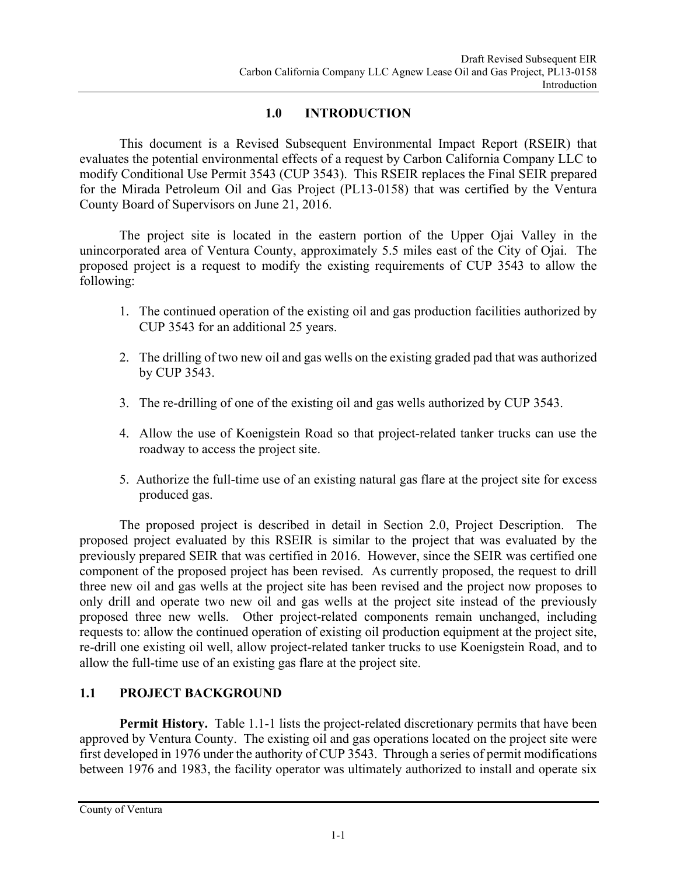## **1.0 INTRODUCTION**

This document is a Revised Subsequent Environmental Impact Report (RSEIR) that evaluates the potential environmental effects of a request by Carbon California Company LLC to modify Conditional Use Permit 3543 (CUP 3543). This RSEIR replaces the Final SEIR prepared for the Mirada Petroleum Oil and Gas Project (PL13-0158) that was certified by the Ventura County Board of Supervisors on June 21, 2016.

The project site is located in the eastern portion of the Upper Ojai Valley in the unincorporated area of Ventura County, approximately 5.5 miles east of the City of Ojai. The proposed project is a request to modify the existing requirements of CUP 3543 to allow the following:

- 1. The continued operation of the existing oil and gas production facilities authorized by CUP 3543 for an additional 25 years.
- 2. The drilling of two new oil and gas wells on the existing graded pad that was authorized by CUP 3543.
- 3. The re-drilling of one of the existing oil and gas wells authorized by CUP 3543.
- 4. Allow the use of Koenigstein Road so that project-related tanker trucks can use the roadway to access the project site.
- 5. Authorize the full-time use of an existing natural gas flare at the project site for excess produced gas.

The proposed project is described in detail in Section 2.0, Project Description. The proposed project evaluated by this RSEIR is similar to the project that was evaluated by the previously prepared SEIR that was certified in 2016. However, since the SEIR was certified one component of the proposed project has been revised. As currently proposed, the request to drill three new oil and gas wells at the project site has been revised and the project now proposes to only drill and operate two new oil and gas wells at the project site instead of the previously proposed three new wells. Other project-related components remain unchanged, including requests to: allow the continued operation of existing oil production equipment at the project site, re-drill one existing oil well, allow project-related tanker trucks to use Koenigstein Road, and to allow the full-time use of an existing gas flare at the project site.

# **1.1 PROJECT BACKGROUND**

**Permit History.** Table 1.1-1 lists the project-related discretionary permits that have been approved by Ventura County. The existing oil and gas operations located on the project site were first developed in 1976 under the authority of CUP 3543. Through a series of permit modifications between 1976 and 1983, the facility operator was ultimately authorized to install and operate six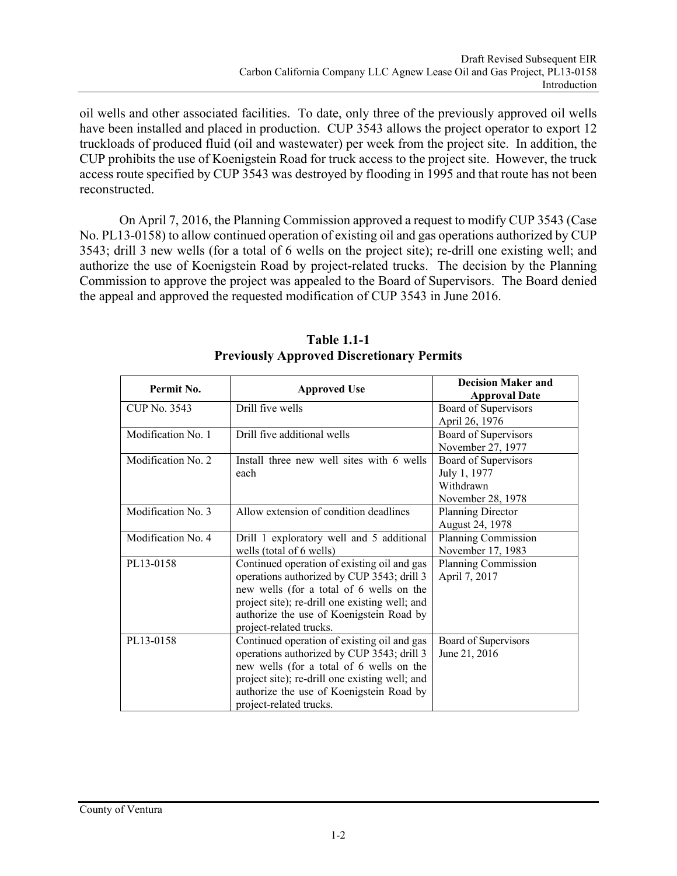oil wells and other associated facilities. To date, only three of the previously approved oil wells have been installed and placed in production. CUP 3543 allows the project operator to export 12 truckloads of produced fluid (oil and wastewater) per week from the project site. In addition, the CUP prohibits the use of Koenigstein Road for truck access to the project site. However, the truck access route specified by CUP 3543 was destroyed by flooding in 1995 and that route has not been reconstructed.

On April 7, 2016, the Planning Commission approved a request to modify CUP 3543 (Case No. PL13-0158) to allow continued operation of existing oil and gas operations authorized by CUP 3543; drill 3 new wells (for a total of 6 wells on the project site); re-drill one existing well; and authorize the use of Koenigstein Road by project-related trucks. The decision by the Planning Commission to approve the project was appealed to the Board of Supervisors. The Board denied the appeal and approved the requested modification of CUP 3543 in June 2016.

| Permit No.         | <b>Approved Use</b>                            | <b>Decision Maker and</b><br><b>Approval Date</b> |
|--------------------|------------------------------------------------|---------------------------------------------------|
|                    |                                                |                                                   |
| CUP No. 3543       | Drill five wells                               | Board of Supervisors                              |
|                    |                                                | April 26, 1976                                    |
| Modification No. 1 | Drill five additional wells                    | Board of Supervisors                              |
|                    |                                                | November 27, 1977                                 |
| Modification No. 2 | Install three new well sites with 6 wells      | Board of Supervisors                              |
|                    | each                                           | July 1, 1977                                      |
|                    |                                                | Withdrawn                                         |
|                    |                                                | November 28, 1978                                 |
| Modification No. 3 | Allow extension of condition deadlines         | Planning Director                                 |
|                    |                                                | August 24, 1978                                   |
| Modification No. 4 | Drill 1 exploratory well and 5 additional      | Planning Commission                               |
|                    | wells (total of 6 wells)                       | November 17, 1983                                 |
| PL13-0158          | Continued operation of existing oil and gas    | Planning Commission                               |
|                    | operations authorized by CUP 3543; drill 3     | April 7, 2017                                     |
|                    | new wells (for a total of 6 wells on the       |                                                   |
|                    | project site); re-drill one existing well; and |                                                   |
|                    | authorize the use of Koenigstein Road by       |                                                   |
|                    | project-related trucks.                        |                                                   |
| PL13-0158          | Continued operation of existing oil and gas    | Board of Supervisors                              |
|                    | operations authorized by CUP 3543; drill 3     | June 21, 2016                                     |
|                    | new wells (for a total of 6 wells on the       |                                                   |
|                    | project site); re-drill one existing well; and |                                                   |
|                    | authorize the use of Koenigstein Road by       |                                                   |
|                    | project-related trucks.                        |                                                   |

**Table 1.1-1 Previously Approved Discretionary Permits**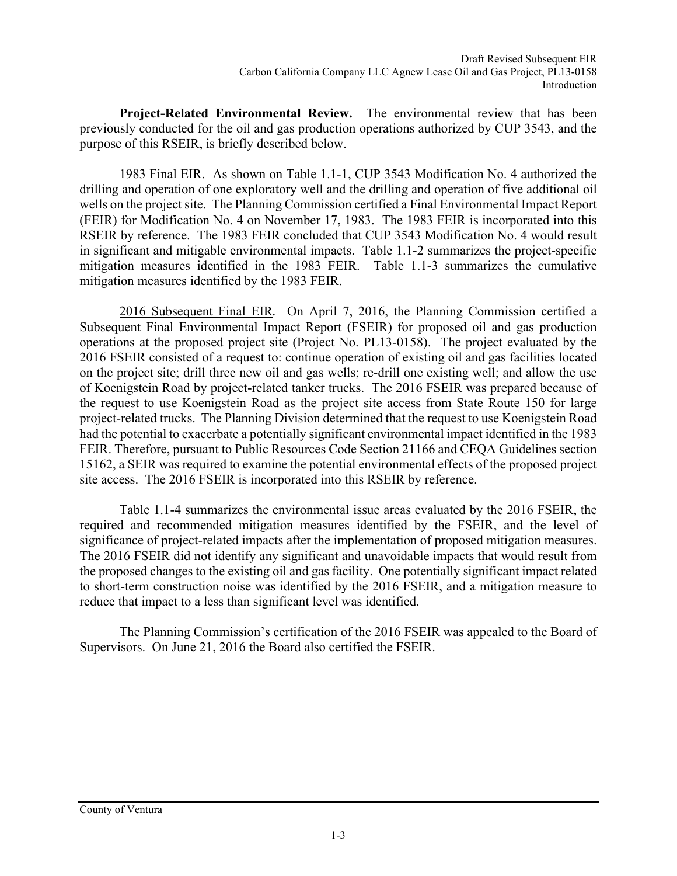**Project-Related Environmental Review.** The environmental review that has been previously conducted for the oil and gas production operations authorized by CUP 3543, and the purpose of this RSEIR, is briefly described below.

1983 Final EIR. As shown on Table 1.1-1, CUP 3543 Modification No. 4 authorized the drilling and operation of one exploratory well and the drilling and operation of five additional oil wells on the project site. The Planning Commission certified a Final Environmental Impact Report (FEIR) for Modification No. 4 on November 17, 1983. The 1983 FEIR is incorporated into this RSEIR by reference. The 1983 FEIR concluded that CUP 3543 Modification No. 4 would result in significant and mitigable environmental impacts. Table 1.1-2 summarizes the project-specific mitigation measures identified in the 1983 FEIR. Table 1.1-3 summarizes the cumulative mitigation measures identified by the 1983 FEIR.

2016 Subsequent Final EIR*.* On April 7, 2016, the Planning Commission certified a Subsequent Final Environmental Impact Report (FSEIR) for proposed oil and gas production operations at the proposed project site (Project No. PL13-0158). The project evaluated by the 2016 FSEIR consisted of a request to: continue operation of existing oil and gas facilities located on the project site; drill three new oil and gas wells; re-drill one existing well; and allow the use of Koenigstein Road by project-related tanker trucks. The 2016 FSEIR was prepared because of the request to use Koenigstein Road as the project site access from State Route 150 for large project-related trucks. The Planning Division determined that the request to use Koenigstein Road had the potential to exacerbate a potentially significant environmental impact identified in the 1983 FEIR. Therefore, pursuant to Public Resources Code Section 21166 and CEQA Guidelines section 15162, a SEIR was required to examine the potential environmental effects of the proposed project site access. The 2016 FSEIR is incorporated into this RSEIR by reference.

Table 1.1-4 summarizes the environmental issue areas evaluated by the 2016 FSEIR, the required and recommended mitigation measures identified by the FSEIR, and the level of significance of project-related impacts after the implementation of proposed mitigation measures. The 2016 FSEIR did not identify any significant and unavoidable impacts that would result from the proposed changes to the existing oil and gas facility. One potentially significant impact related to short-term construction noise was identified by the 2016 FSEIR, and a mitigation measure to reduce that impact to a less than significant level was identified.

The Planning Commission's certification of the 2016 FSEIR was appealed to the Board of Supervisors. On June 21, 2016 the Board also certified the FSEIR.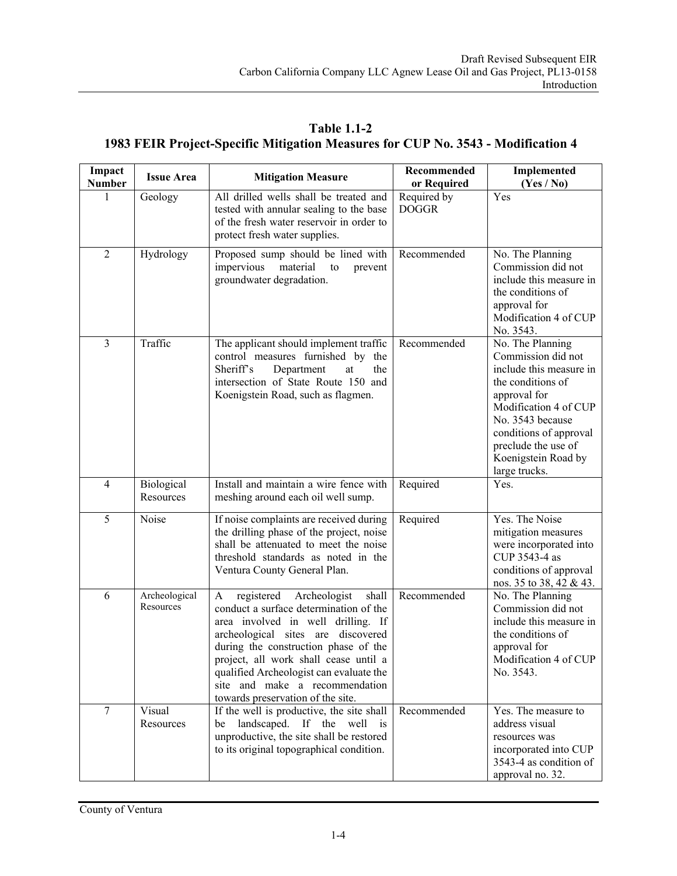**Table 1.1-2 1983 FEIR Project-Specific Mitigation Measures for CUP No. 3543 - Modification 4** 

| Impact<br><b>Number</b> | <b>Issue Area</b>          | <b>Mitigation Measure</b>                                                                                                                                                                                                                                                                                                                                         | Recommended<br>or Required  | Implemented<br>(Yes / No)                                                                                                                                                                                                                    |
|-------------------------|----------------------------|-------------------------------------------------------------------------------------------------------------------------------------------------------------------------------------------------------------------------------------------------------------------------------------------------------------------------------------------------------------------|-----------------------------|----------------------------------------------------------------------------------------------------------------------------------------------------------------------------------------------------------------------------------------------|
| 1                       | Geology                    | All drilled wells shall be treated and<br>tested with annular sealing to the base<br>of the fresh water reservoir in order to<br>protect fresh water supplies.                                                                                                                                                                                                    | Required by<br><b>DOGGR</b> | Yes                                                                                                                                                                                                                                          |
| $\overline{2}$          | Hydrology                  | Proposed sump should be lined with<br>impervious<br>material<br>to<br>prevent<br>groundwater degradation.                                                                                                                                                                                                                                                         | Recommended                 | No. The Planning<br>Commission did not<br>include this measure in<br>the conditions of<br>approval for<br>Modification 4 of CUP<br>No. 3543.                                                                                                 |
| 3                       | Traffic                    | The applicant should implement traffic<br>control measures furnished by the<br>Sheriff's<br>Department<br>at<br>the<br>intersection of State Route 150 and<br>Koenigstein Road, such as flagmen.                                                                                                                                                                  | Recommended                 | No. The Planning<br>Commission did not<br>include this measure in<br>the conditions of<br>approval for<br>Modification 4 of CUP<br>No. 3543 because<br>conditions of approval<br>preclude the use of<br>Koenigstein Road by<br>large trucks. |
| 4                       | Biological<br>Resources    | Install and maintain a wire fence with<br>meshing around each oil well sump.                                                                                                                                                                                                                                                                                      | Required                    | Yes.                                                                                                                                                                                                                                         |
| 5                       | Noise                      | If noise complaints are received during<br>the drilling phase of the project, noise<br>shall be attenuated to meet the noise<br>threshold standards as noted in the<br>Ventura County General Plan.                                                                                                                                                               | Required                    | Yes. The Noise<br>mitigation measures<br>were incorporated into<br>CUP 3543-4 as<br>conditions of approval<br>nos. 35 to 38, 42 & 43.                                                                                                        |
| 6                       | Archeological<br>Resources | registered<br>Archeologist<br>shall<br>A<br>conduct a surface determination of the<br>area involved in well drilling. If<br>archeological sites are discovered<br>during the construction phase of the<br>project, all work shall cease until a<br>qualified Archeologist can evaluate the<br>site and make a recommendation<br>towards preservation of the site. | Recommended                 | No. The Planning<br>Commission did not<br>include this measure in<br>the conditions of<br>approval for<br>Modification 4 of CUP<br>No. 3543.                                                                                                 |
| $\overline{7}$          | Visual<br>Resources        | If the well is productive, the site shall<br>landscaped.<br>If<br>the well<br>be<br>$\overline{1}$<br>unproductive, the site shall be restored<br>to its original topographical condition.                                                                                                                                                                        | Recommended                 | Yes. The measure to<br>address visual<br>resources was<br>incorporated into CUP<br>3543-4 as condition of<br>approval no. 32.                                                                                                                |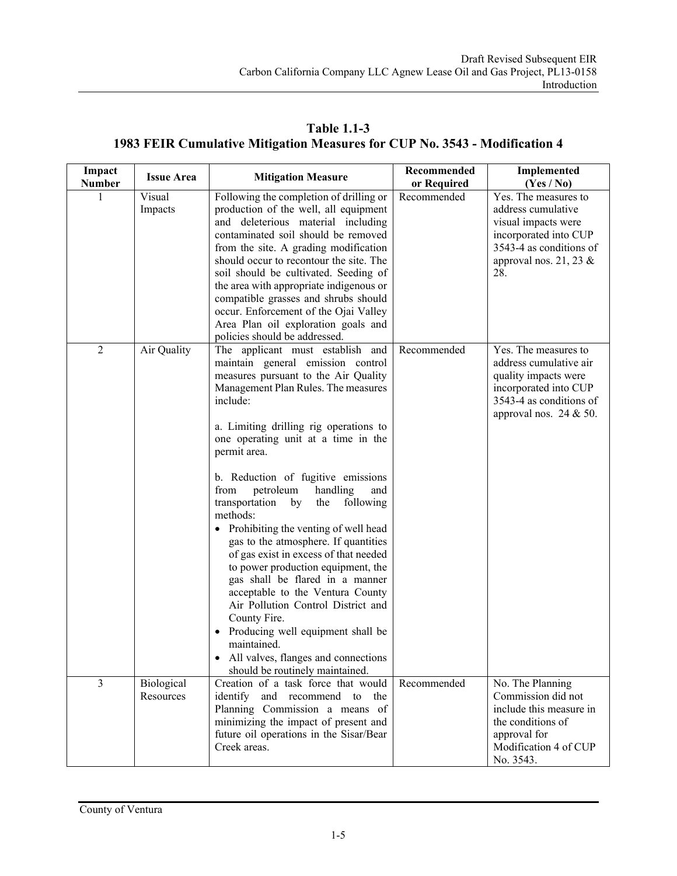**Table 1.1-3 1983 FEIR Cumulative Mitigation Measures for CUP No. 3543 - Modification 4** 

| Impact<br><b>Number</b> | <b>Issue Area</b>       | <b>Mitigation Measure</b>                                                                                                                                                                                                                                                                                                                                                                                                                                                                                                                                                                                                                                                                                                                                                                                                         | Recommended<br>or Required | <b>Implemented</b><br>(Yes / No)                                                                                                                          |
|-------------------------|-------------------------|-----------------------------------------------------------------------------------------------------------------------------------------------------------------------------------------------------------------------------------------------------------------------------------------------------------------------------------------------------------------------------------------------------------------------------------------------------------------------------------------------------------------------------------------------------------------------------------------------------------------------------------------------------------------------------------------------------------------------------------------------------------------------------------------------------------------------------------|----------------------------|-----------------------------------------------------------------------------------------------------------------------------------------------------------|
|                         | Visual<br>Impacts       | Following the completion of drilling or<br>production of the well, all equipment<br>and deleterious material including<br>contaminated soil should be removed<br>from the site. A grading modification<br>should occur to recontour the site. The<br>soil should be cultivated. Seeding of<br>the area with appropriate indigenous or<br>compatible grasses and shrubs should<br>occur. Enforcement of the Ojai Valley<br>Area Plan oil exploration goals and<br>policies should be addressed.                                                                                                                                                                                                                                                                                                                                    | Recommended                | Yes. The measures to<br>address cumulative<br>visual impacts were<br>incorporated into CUP<br>3543-4 as conditions of<br>approval nos. 21, 23 $\&$<br>28. |
| $\overline{2}$          | Air Quality             | The applicant must establish and<br>maintain general emission control<br>measures pursuant to the Air Quality<br>Management Plan Rules. The measures<br>include:<br>a. Limiting drilling rig operations to<br>one operating unit at a time in the<br>permit area.<br>b. Reduction of fugitive emissions<br>petroleum<br>handling<br>from<br>and<br>transportation<br>following<br>by<br>the<br>methods:<br>Prohibiting the venting of well head<br>gas to the atmosphere. If quantities<br>of gas exist in excess of that needed<br>to power production equipment, the<br>gas shall be flared in a manner<br>acceptable to the Ventura County<br>Air Pollution Control District and<br>County Fire.<br>Producing well equipment shall be<br>maintained.<br>All valves, flanges and connections<br>should be routinely maintained. | Recommended                | Yes. The measures to<br>address cumulative air<br>quality impacts were<br>incorporated into CUP<br>3543-4 as conditions of<br>approval nos. $24 & 50$ .   |
| $\overline{3}$          | Biological<br>Resources | Creation of a task force that would<br>identify and recommend to the<br>Planning Commission a means of<br>minimizing the impact of present and<br>future oil operations in the Sisar/Bear<br>Creek areas.                                                                                                                                                                                                                                                                                                                                                                                                                                                                                                                                                                                                                         | Recommended                | No. The Planning<br>Commission did not<br>include this measure in<br>the conditions of<br>approval for<br>Modification 4 of CUP<br>No. 3543.              |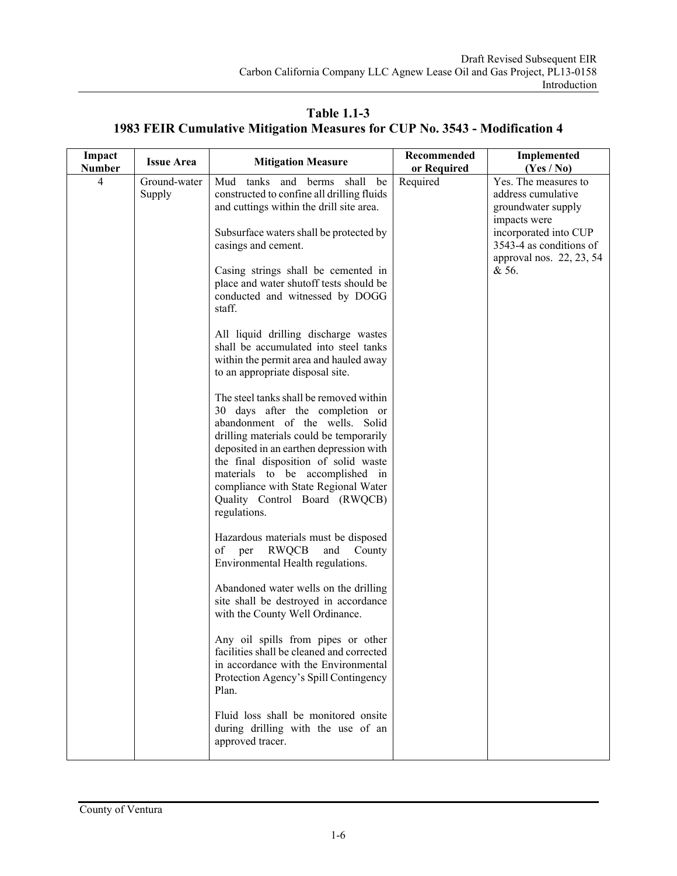**Impact Impact Issue Area 1888 Mitigation Measure 1888 Recommended Mumber 1888 Required or Required Implemented (Yes / No)**  4 Ground-water Supply Mud tanks and berms shall be constructed to confine all drilling fluids and cuttings within the drill site area. Subsurface waters shall be protected by casings and cement. Casing strings shall be cemented in place and water shutoff tests should be conducted and witnessed by DOGG staff. All liquid drilling discharge wastes shall be accumulated into steel tanks within the permit area and hauled away to an appropriate disposal site. The steel tanks shall be removed within 30 days after the completion or abandonment of the wells. Solid drilling materials could be temporarily deposited in an earthen depression with the final disposition of solid waste materials to be accomplished in compliance with State Regional Water Quality Control Board (RWQCB) regulations. Hazardous materials must be disposed of per RWQCB and County Environmental Health regulations. Abandoned water wells on the drilling site shall be destroyed in accordance with the County Well Ordinance. Any oil spills from pipes or other facilities shall be cleaned and corrected in accordance with the Environmental Protection Agency's Spill Contingency Plan. Fluid loss shall be monitored onsite during drilling with the use of an approved tracer. Required Yes. The measures to address cumulative groundwater supply impacts were incorporated into CUP 3543-4 as conditions of approval nos. 22, 23, 54 & 56.

**Table 1.1-3 1983 FEIR Cumulative Mitigation Measures for CUP No. 3543 - Modification 4**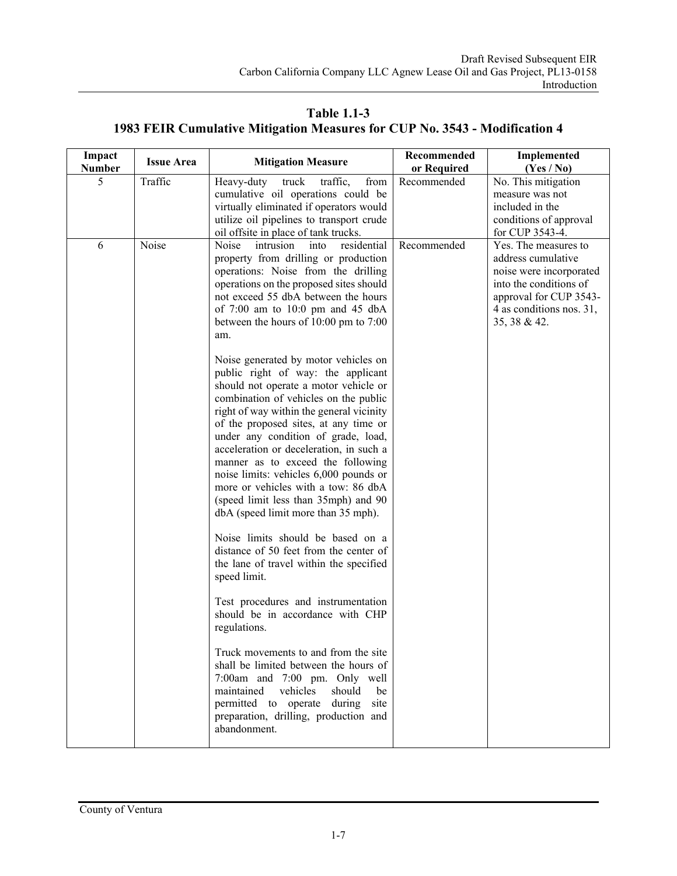**Table 1.1-3 1983 FEIR Cumulative Mitigation Measures for CUP No. 3543 - Modification 4** 

| Impact<br><b>Number</b> | <b>Issue Area</b> | <b>Mitigation Measure</b>                                                                                                                                                                                                                                                                                                                                                                                                                                                                                                                                                                                                                                                                                                                                                                                                                                                                                                                                                                                                                                                                                                     | Recommended<br>or Required | Implemented<br>$(Y_{es} / No)$                                                                                                                                        |
|-------------------------|-------------------|-------------------------------------------------------------------------------------------------------------------------------------------------------------------------------------------------------------------------------------------------------------------------------------------------------------------------------------------------------------------------------------------------------------------------------------------------------------------------------------------------------------------------------------------------------------------------------------------------------------------------------------------------------------------------------------------------------------------------------------------------------------------------------------------------------------------------------------------------------------------------------------------------------------------------------------------------------------------------------------------------------------------------------------------------------------------------------------------------------------------------------|----------------------------|-----------------------------------------------------------------------------------------------------------------------------------------------------------------------|
| 5                       | Traffic           | Heavy-duty<br>from<br>traffic,<br>truck<br>cumulative oil operations could be<br>virtually eliminated if operators would<br>utilize oil pipelines to transport crude                                                                                                                                                                                                                                                                                                                                                                                                                                                                                                                                                                                                                                                                                                                                                                                                                                                                                                                                                          | Recommended                | No. This mitigation<br>measure was not<br>included in the<br>conditions of approval<br>for CUP 3543-4.                                                                |
| 6                       | Noise             | oil offsite in place of tank trucks.<br>Noise<br>residential<br>intrusion<br>into<br>property from drilling or production<br>operations: Noise from the drilling<br>operations on the proposed sites should<br>not exceed 55 dbA between the hours<br>of $7:00$ am to $10:0$ pm and $45$ dbA<br>between the hours of 10:00 pm to 7:00<br>am.<br>Noise generated by motor vehicles on<br>public right of way: the applicant<br>should not operate a motor vehicle or<br>combination of vehicles on the public<br>right of way within the general vicinity<br>of the proposed sites, at any time or<br>under any condition of grade, load,<br>acceleration or deceleration, in such a<br>manner as to exceed the following<br>noise limits: vehicles 6,000 pounds or<br>more or vehicles with a tow: 86 dbA<br>(speed limit less than 35mph) and 90<br>dbA (speed limit more than 35 mph).<br>Noise limits should be based on a<br>distance of 50 feet from the center of<br>the lane of travel within the specified<br>speed limit.<br>Test procedures and instrumentation<br>should be in accordance with CHP<br>regulations. | Recommended                | Yes. The measures to<br>address cumulative<br>noise were incorporated<br>into the conditions of<br>approval for CUP 3543-<br>4 as conditions nos. 31,<br>35, 38 & 42. |
|                         |                   | Truck movements to and from the site<br>shall be limited between the hours of<br>7:00am and 7:00 pm. Only well<br>maintained<br>vehicles<br>should<br>be<br>permitted to operate during<br>site<br>preparation, drilling, production and<br>abandonment.                                                                                                                                                                                                                                                                                                                                                                                                                                                                                                                                                                                                                                                                                                                                                                                                                                                                      |                            |                                                                                                                                                                       |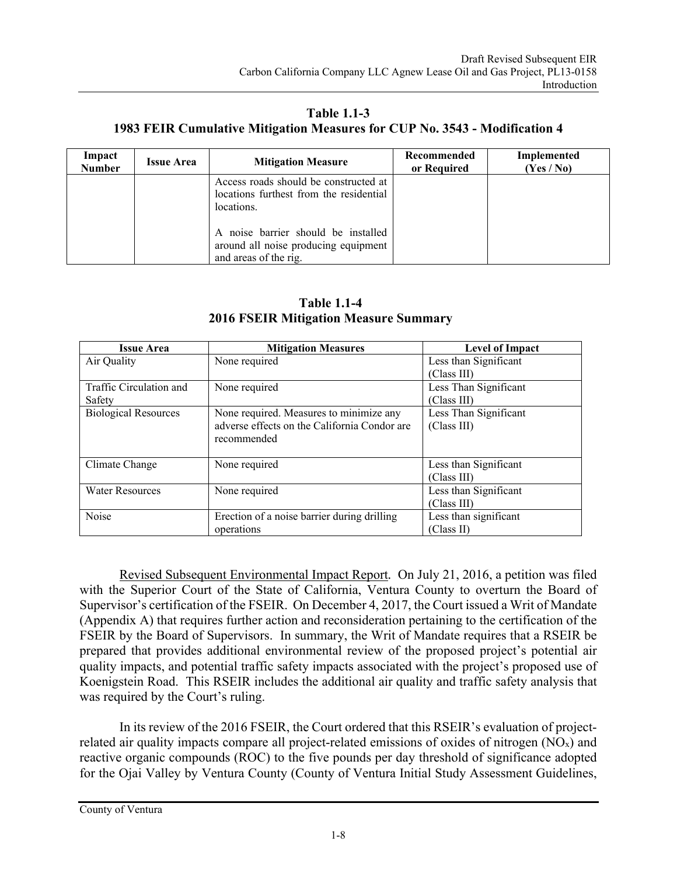**Table 1.1-3 1983 FEIR Cumulative Mitigation Measures for CUP No. 3543 - Modification 4** 

| Impact<br><b>Number</b> | <b>Issue Area</b> | <b>Mitigation Measure</b>                                                                            | Recommended<br>or Required | Implemented<br>(Yes / No) |
|-------------------------|-------------------|------------------------------------------------------------------------------------------------------|----------------------------|---------------------------|
|                         |                   | Access roads should be constructed at<br>locations furthest from the residential<br>locations.       |                            |                           |
|                         |                   | A noise barrier should be installed<br>around all noise producing equipment<br>and areas of the rig. |                            |                           |

| <b>Table 1.1-4</b>                           |  |  |  |
|----------------------------------------------|--|--|--|
| <b>2016 FSEIR Mitigation Measure Summary</b> |  |  |  |

| <b>Issue Area</b>           | <b>Mitigation Measures</b>                   | <b>Level of Impact</b> |
|-----------------------------|----------------------------------------------|------------------------|
| Air Quality                 | None required                                | Less than Significant  |
|                             |                                              | (Class III)            |
| Traffic Circulation and     | None required                                | Less Than Significant  |
| Safety                      |                                              | (Class III)            |
| <b>Biological Resources</b> | None required. Measures to minimize any      | Less Than Significant  |
|                             | adverse effects on the California Condor are | (Class III)            |
|                             | recommended                                  |                        |
|                             |                                              |                        |
| Climate Change              | None required                                | Less than Significant  |
|                             |                                              | (Class III)            |
| <b>Water Resources</b>      | None required                                | Less than Significant  |
|                             |                                              | (Class III)            |
| Noise                       | Erection of a noise barrier during drilling  | Less than significant  |
|                             | operations                                   | (Class II)             |

 Revised Subsequent Environmental Impact Report*.* On July 21, 2016, a petition was filed with the Superior Court of the State of California, Ventura County to overturn the Board of Supervisor's certification of the FSEIR. On December 4, 2017, the Court issued a Writ of Mandate (Appendix A) that requires further action and reconsideration pertaining to the certification of the FSEIR by the Board of Supervisors. In summary, the Writ of Mandate requires that a RSEIR be prepared that provides additional environmental review of the proposed project's potential air quality impacts, and potential traffic safety impacts associated with the project's proposed use of Koenigstein Road. This RSEIR includes the additional air quality and traffic safety analysis that was required by the Court's ruling.

 In its review of the 2016 FSEIR, the Court ordered that this RSEIR's evaluation of projectrelated air quality impacts compare all project-related emissions of oxides of nitrogen  $(NO<sub>x</sub>)$  and reactive organic compounds (ROC) to the five pounds per day threshold of significance adopted for the Ojai Valley by Ventura County (County of Ventura Initial Study Assessment Guidelines,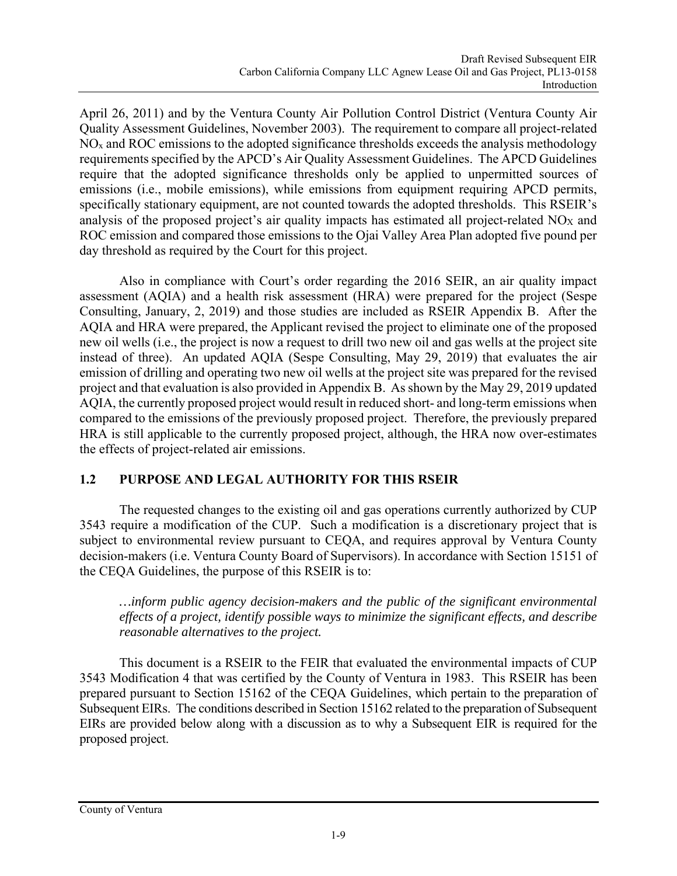April 26, 2011) and by the Ventura County Air Pollution Control District (Ventura County Air Quality Assessment Guidelines, November 2003). The requirement to compare all project-related  $NO<sub>x</sub>$  and ROC emissions to the adopted significance thresholds exceeds the analysis methodology requirements specified by the APCD's Air Quality Assessment Guidelines. The APCD Guidelines require that the adopted significance thresholds only be applied to unpermitted sources of emissions (i.e., mobile emissions), while emissions from equipment requiring APCD permits, specifically stationary equipment, are not counted towards the adopted thresholds. This RSEIR's analysis of the proposed project's air quality impacts has estimated all project-related NOX and ROC emission and compared those emissions to the Ojai Valley Area Plan adopted five pound per day threshold as required by the Court for this project.

 Also in compliance with Court's order regarding the 2016 SEIR, an air quality impact assessment (AQIA) and a health risk assessment (HRA) were prepared for the project (Sespe Consulting, January, 2, 2019) and those studies are included as RSEIR Appendix B. After the AQIA and HRA were prepared, the Applicant revised the project to eliminate one of the proposed new oil wells (i.e., the project is now a request to drill two new oil and gas wells at the project site instead of three). An updated AQIA (Sespe Consulting, May 29, 2019) that evaluates the air emission of drilling and operating two new oil wells at the project site was prepared for the revised project and that evaluation is also provided in Appendix B. As shown by the May 29, 2019 updated AQIA, the currently proposed project would result in reduced short- and long-term emissions when compared to the emissions of the previously proposed project. Therefore, the previously prepared HRA is still applicable to the currently proposed project, although, the HRA now over-estimates the effects of project-related air emissions.

## **1.2 PURPOSE AND LEGAL AUTHORITY FOR THIS RSEIR**

The requested changes to the existing oil and gas operations currently authorized by CUP 3543 require a modification of the CUP. Such a modification is a discretionary project that is subject to environmental review pursuant to CEQA, and requires approval by Ventura County decision-makers (i.e. Ventura County Board of Supervisors). In accordance with Section 15151 of the CEQA Guidelines, the purpose of this RSEIR is to:

*…inform public agency decision-makers and the public of the significant environmental effects of a project, identify possible ways to minimize the significant effects, and describe reasonable alternatives to the project.* 

This document is a RSEIR to the FEIR that evaluated the environmental impacts of CUP 3543 Modification 4 that was certified by the County of Ventura in 1983. This RSEIR has been prepared pursuant to Section 15162 of the CEQA Guidelines, which pertain to the preparation of Subsequent EIRs. The conditions described in Section 15162 related to the preparation of Subsequent EIRs are provided below along with a discussion as to why a Subsequent EIR is required for the proposed project.

County of Ventura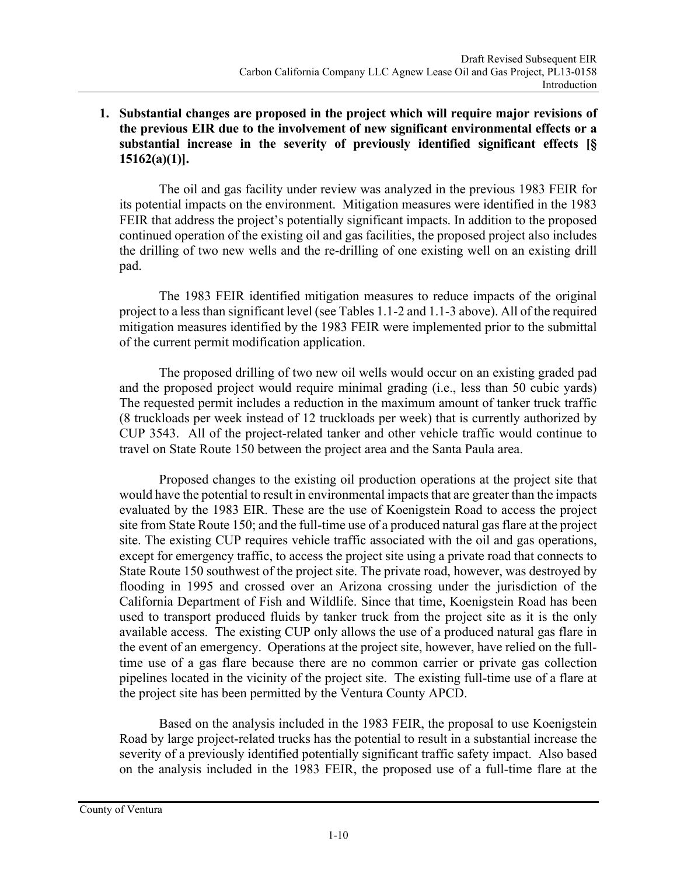#### **1. Substantial changes are proposed in the project which will require major revisions of the previous EIR due to the involvement of new significant environmental effects or a substantial increase in the severity of previously identified significant effects [§ 15162(a)(1)].**

The oil and gas facility under review was analyzed in the previous 1983 FEIR for its potential impacts on the environment. Mitigation measures were identified in the 1983 FEIR that address the project's potentially significant impacts. In addition to the proposed continued operation of the existing oil and gas facilities, the proposed project also includes the drilling of two new wells and the re-drilling of one existing well on an existing drill pad.

The 1983 FEIR identified mitigation measures to reduce impacts of the original project to a less than significant level (see Tables 1.1-2 and 1.1-3 above). All of the required mitigation measures identified by the 1983 FEIR were implemented prior to the submittal of the current permit modification application.

The proposed drilling of two new oil wells would occur on an existing graded pad and the proposed project would require minimal grading (i.e., less than 50 cubic yards) The requested permit includes a reduction in the maximum amount of tanker truck traffic (8 truckloads per week instead of 12 truckloads per week) that is currently authorized by CUP 3543. All of the project-related tanker and other vehicle traffic would continue to travel on State Route 150 between the project area and the Santa Paula area.

Proposed changes to the existing oil production operations at the project site that would have the potential to result in environmental impacts that are greater than the impacts evaluated by the 1983 EIR. These are the use of Koenigstein Road to access the project site from State Route 150; and the full-time use of a produced natural gas flare at the project site. The existing CUP requires vehicle traffic associated with the oil and gas operations, except for emergency traffic, to access the project site using a private road that connects to State Route 150 southwest of the project site. The private road, however, was destroyed by flooding in 1995 and crossed over an Arizona crossing under the jurisdiction of the California Department of Fish and Wildlife. Since that time, Koenigstein Road has been used to transport produced fluids by tanker truck from the project site as it is the only available access. The existing CUP only allows the use of a produced natural gas flare in the event of an emergency. Operations at the project site, however, have relied on the fulltime use of a gas flare because there are no common carrier or private gas collection pipelines located in the vicinity of the project site. The existing full-time use of a flare at the project site has been permitted by the Ventura County APCD.

Based on the analysis included in the 1983 FEIR, the proposal to use Koenigstein Road by large project-related trucks has the potential to result in a substantial increase the severity of a previously identified potentially significant traffic safety impact. Also based on the analysis included in the 1983 FEIR, the proposed use of a full-time flare at the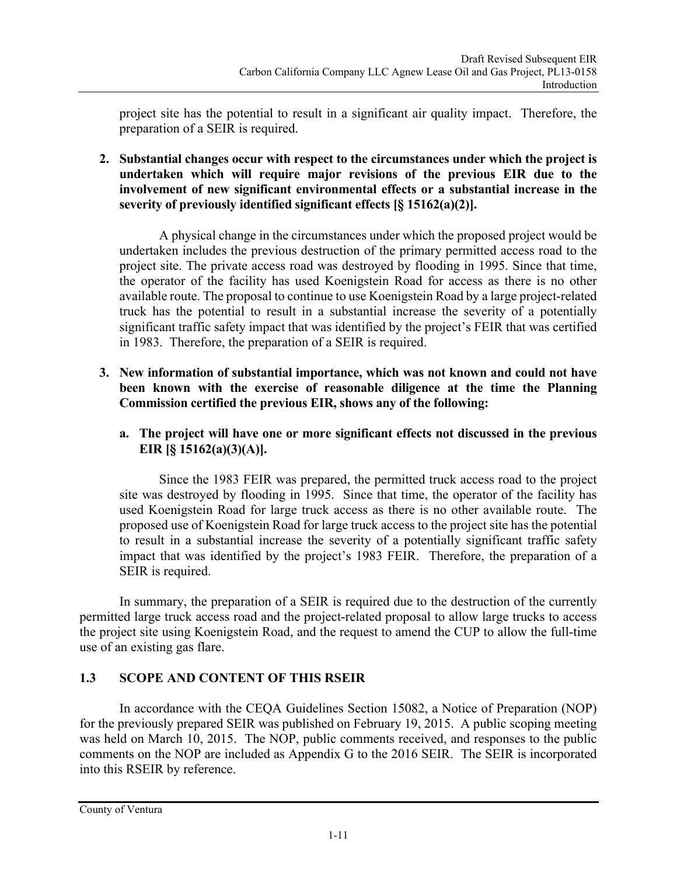project site has the potential to result in a significant air quality impact. Therefore, the preparation of a SEIR is required.

**2. Substantial changes occur with respect to the circumstances under which the project is undertaken which will require major revisions of the previous EIR due to the involvement of new significant environmental effects or a substantial increase in the severity of previously identified significant effects [§ 15162(a)(2)].** 

A physical change in the circumstances under which the proposed project would be undertaken includes the previous destruction of the primary permitted access road to the project site. The private access road was destroyed by flooding in 1995. Since that time, the operator of the facility has used Koenigstein Road for access as there is no other available route. The proposal to continue to use Koenigstein Road by a large project-related truck has the potential to result in a substantial increase the severity of a potentially significant traffic safety impact that was identified by the project's FEIR that was certified in 1983. Therefore, the preparation of a SEIR is required.

- **3. New information of substantial importance, which was not known and could not have been known with the exercise of reasonable diligence at the time the Planning Commission certified the previous EIR, shows any of the following:** 
	- **a. The project will have one or more significant effects not discussed in the previous EIR [§ 15162(a)(3)(A)].**

Since the 1983 FEIR was prepared, the permitted truck access road to the project site was destroyed by flooding in 1995. Since that time, the operator of the facility has used Koenigstein Road for large truck access as there is no other available route. The proposed use of Koenigstein Road for large truck access to the project site has the potential to result in a substantial increase the severity of a potentially significant traffic safety impact that was identified by the project's 1983 FEIR. Therefore, the preparation of a SEIR is required.

In summary, the preparation of a SEIR is required due to the destruction of the currently permitted large truck access road and the project-related proposal to allow large trucks to access the project site using Koenigstein Road, and the request to amend the CUP to allow the full-time use of an existing gas flare.

## **1.3 SCOPE AND CONTENT OF THIS RSEIR**

In accordance with the CEQA Guidelines Section 15082, a Notice of Preparation (NOP) for the previously prepared SEIR was published on February 19, 2015. A public scoping meeting was held on March 10, 2015. The NOP, public comments received, and responses to the public comments on the NOP are included as Appendix G to the 2016 SEIR. The SEIR is incorporated into this RSEIR by reference.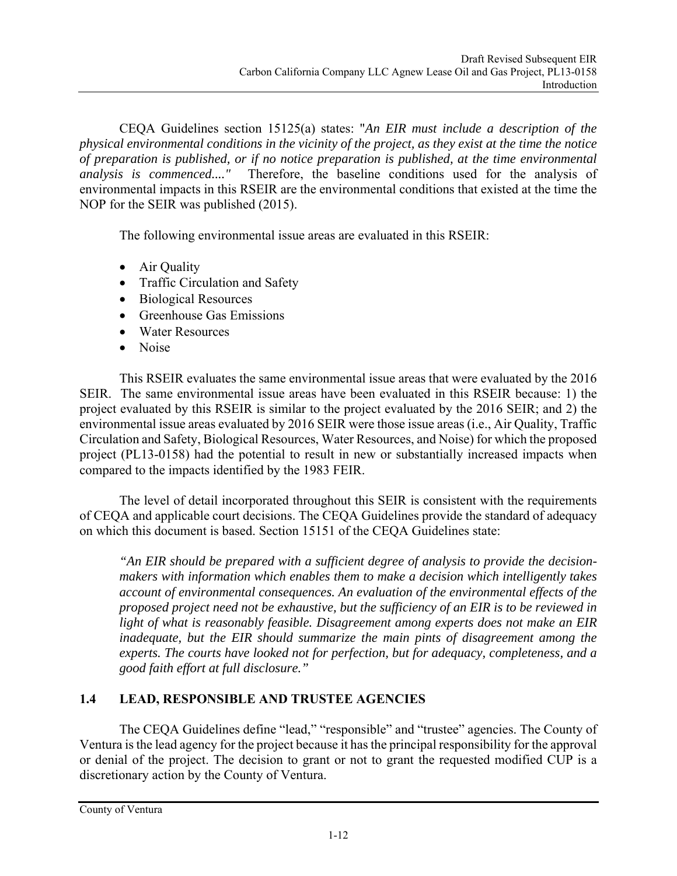CEQA Guidelines section 15125(a) states: "*An EIR must include a description of the physical environmental conditions in the vicinity of the project, as they exist at the time the notice of preparation is published, or if no notice preparation is published, at the time environmental analysis is commenced...."* Therefore, the baseline conditions used for the analysis of environmental impacts in this RSEIR are the environmental conditions that existed at the time the NOP for the SEIR was published (2015).

The following environmental issue areas are evaluated in this RSEIR:

- Air Quality
- Traffic Circulation and Safety
- Biological Resources
- Greenhouse Gas Emissions
- Water Resources
- Noise

This RSEIR evaluates the same environmental issue areas that were evaluated by the 2016 SEIR. The same environmental issue areas have been evaluated in this RSEIR because: 1) the project evaluated by this RSEIR is similar to the project evaluated by the 2016 SEIR; and 2) the environmental issue areas evaluated by 2016 SEIR were those issue areas (i.e., Air Quality, Traffic Circulation and Safety, Biological Resources, Water Resources, and Noise) for which the proposed project (PL13-0158) had the potential to result in new or substantially increased impacts when compared to the impacts identified by the 1983 FEIR.

The level of detail incorporated throughout this SEIR is consistent with the requirements of CEQA and applicable court decisions. The CEQA Guidelines provide the standard of adequacy on which this document is based. Section 15151 of the CEQA Guidelines state:

*"An EIR should be prepared with a sufficient degree of analysis to provide the decisionmakers with information which enables them to make a decision which intelligently takes account of environmental consequences. An evaluation of the environmental effects of the proposed project need not be exhaustive, but the sufficiency of an EIR is to be reviewed in light of what is reasonably feasible. Disagreement among experts does not make an EIR inadequate, but the EIR should summarize the main pints of disagreement among the experts. The courts have looked not for perfection, but for adequacy, completeness, and a good faith effort at full disclosure."* 

## **1.4 LEAD, RESPONSIBLE AND TRUSTEE AGENCIES**

The CEQA Guidelines define "lead," "responsible" and "trustee" agencies. The County of Ventura is the lead agency for the project because it has the principal responsibility for the approval or denial of the project. The decision to grant or not to grant the requested modified CUP is a discretionary action by the County of Ventura.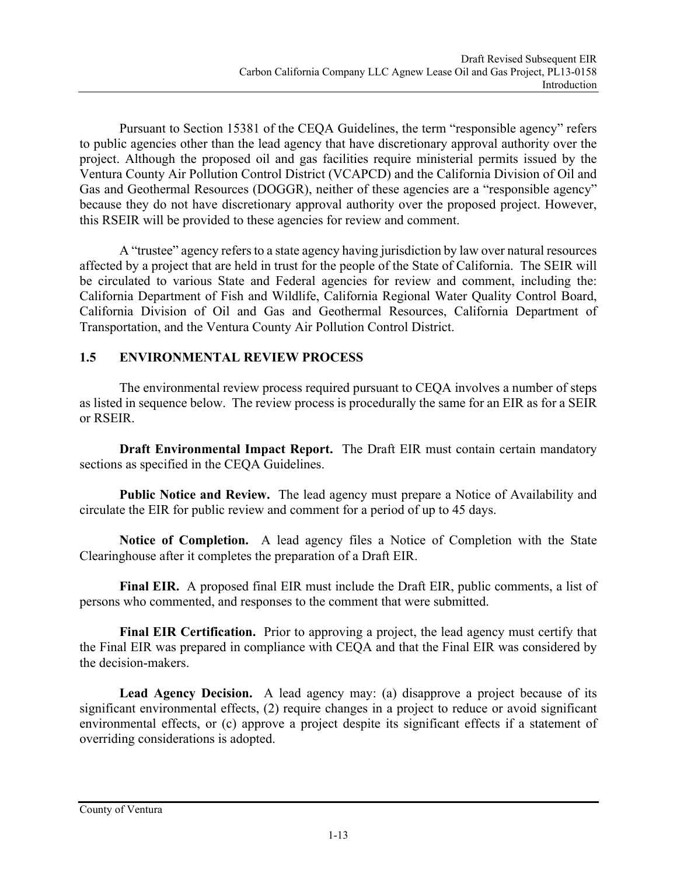Pursuant to Section 15381 of the CEQA Guidelines, the term "responsible agency" refers to public agencies other than the lead agency that have discretionary approval authority over the project. Although the proposed oil and gas facilities require ministerial permits issued by the Ventura County Air Pollution Control District (VCAPCD) and the California Division of Oil and Gas and Geothermal Resources (DOGGR), neither of these agencies are a "responsible agency" because they do not have discretionary approval authority over the proposed project. However, this RSEIR will be provided to these agencies for review and comment.

A "trustee" agency refers to a state agency having jurisdiction by law over natural resources affected by a project that are held in trust for the people of the State of California. The SEIR will be circulated to various State and Federal agencies for review and comment, including the: California Department of Fish and Wildlife, California Regional Water Quality Control Board, California Division of Oil and Gas and Geothermal Resources, California Department of Transportation, and the Ventura County Air Pollution Control District.

#### **1.5 ENVIRONMENTAL REVIEW PROCESS**

The environmental review process required pursuant to CEQA involves a number of steps as listed in sequence below. The review process is procedurally the same for an EIR as for a SEIR or RSEIR.

**Draft Environmental Impact Report.** The Draft EIR must contain certain mandatory sections as specified in the CEQA Guidelines.

**Public Notice and Review.** The lead agency must prepare a Notice of Availability and circulate the EIR for public review and comment for a period of up to 45 days.

**Notice of Completion.** A lead agency files a Notice of Completion with the State Clearinghouse after it completes the preparation of a Draft EIR.

**Final EIR.** A proposed final EIR must include the Draft EIR, public comments, a list of persons who commented, and responses to the comment that were submitted.

**Final EIR Certification.** Prior to approving a project, the lead agency must certify that the Final EIR was prepared in compliance with CEQA and that the Final EIR was considered by the decision-makers.

**Lead Agency Decision.** A lead agency may: (a) disapprove a project because of its significant environmental effects, (2) require changes in a project to reduce or avoid significant environmental effects, or (c) approve a project despite its significant effects if a statement of overriding considerations is adopted.

County of Ventura